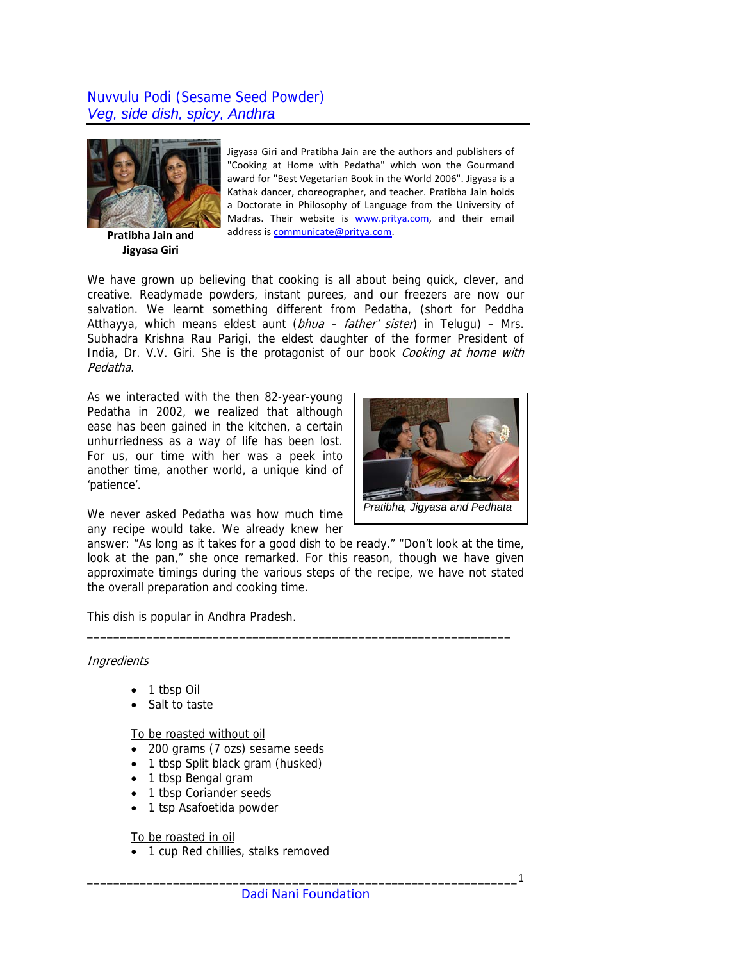## Nuvvulu Podi (Sesame Seed Powder) *Veg, side dish, spicy, Andhra*



**Pratibha Jain and Jigyasa Giri**

Jigyasa Giri and Pratibha Jain are the authors and publishers of "Cooking at Home with Pedatha" which won the Gourmand award for "Best Vegetarian Book in the World 2006". Jigyasa is a Kathak dancer, choreographer, and teacher. Pratibha Jain holds a Doctorate in Philosophy of Language from the University of Madras. Their website is [www.pritya.com,](http://www.pritya.com/) and their email address is [communicate@pritya.com.](mailto:communicate@pritya.com)

*Pratibha, Jigyasa and Pedhata* 

We have grown up believing that cooking is all about being quick, clever, and creative. Readymade powders, instant purees, and our freezers are now our salvation. We learnt something different from Pedatha, (short for Peddha Atthayya, which means eldest aunt ( $bhu = father \text{ sister}$ ) in Telugu) – Mrs. Subhadra Krishna Rau Parigi, the eldest daughter of the former President of India, Dr. V.V. Giri. She is the protagonist of our book Cooking at home with Pedatha.

As we interacted with the then 82-year-young Pedatha in 2002, we realized that although ease has been gained in the kitchen, a certain unhurriedness as a way of life has been lost. For us, our time with her was a peek into another time, another world, a unique kind of 'patience'.



answer: "As long as it takes for a good dish to be ready." "Don't look at the time, look at the pan," she once remarked. For this reason, though we have given approximate timings during the various steps of the recipe, we have not stated the overall preparation and cooking time.

\_\_\_\_\_\_\_\_\_\_\_\_\_\_\_\_\_\_\_\_\_\_\_\_\_\_\_\_\_\_\_\_\_\_\_\_\_\_\_\_\_\_\_\_\_\_\_\_\_\_\_\_\_\_\_\_\_\_\_\_\_\_\_\_

This dish is popular in Andhra Pradesh.

## **Ingredients**

- 1 tbsp Oil
- Salt to taste

To be roasted without oil

- 200 grams (7 ozs) sesame seeds
- 1 tbsp Split black gram (husked)
- 1 tbsp Bengal gram
- 1 tbsp Coriander seeds
- 1 tsp Asafoetida powder

To be roasted in oil

• 1 cup Red chillies, stalks removed